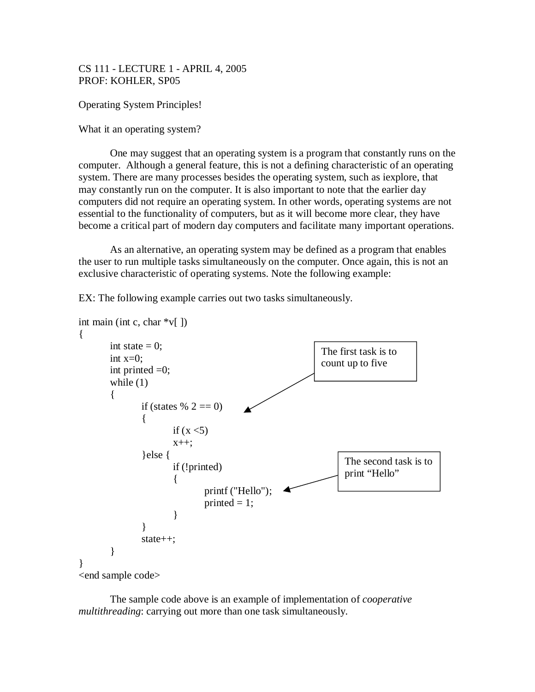CS 111 - LECTURE 1 - APRIL 4, 2005 PROF: KOHLER, SP05

Operating System Principles!

What it an operating system?

One may suggest that an operating system is a program that constantly runs on the computer. Although a general feature, this is not a defining characteristic of an operating system. There are many processes besides the operating system, such as iexplore, that may constantly run on the computer. It is also important to note that the earlier day computers did not require an operating system. In other words, operating systems are not essential to the functionality of computers, but as it will become more clear, they have become a critical part of modern day computers and facilitate many important operations.

As an alternative, an operating system may be defined as a program that enables the user to run multiple tasks simultaneously on the computer. Once again, this is not an exclusive characteristic of operating systems. Note the following example:

EX: The following example carries out two tasks simultaneously.

```
int main (int c, char \sqrt[*]{\ }])
{
        int state = 0;
        int x=0:
        int printed =0;
        while (1){
                if (states % 2 == 0)
                {
                        if (x < 5)x++;
                }else {
                        if (!printed)
                        {
                                printf ("Hello");
                                printed = 1;
                        }
                }
                state++;
        }
}
<end sample code>
                                                                     The second task is to 
                                                                     print "Hello"
                                                               The first task is to 
                                                               count up to five
```
The sample code above is an example of implementation of *cooperative multithreading*: carrying out more than one task simultaneously.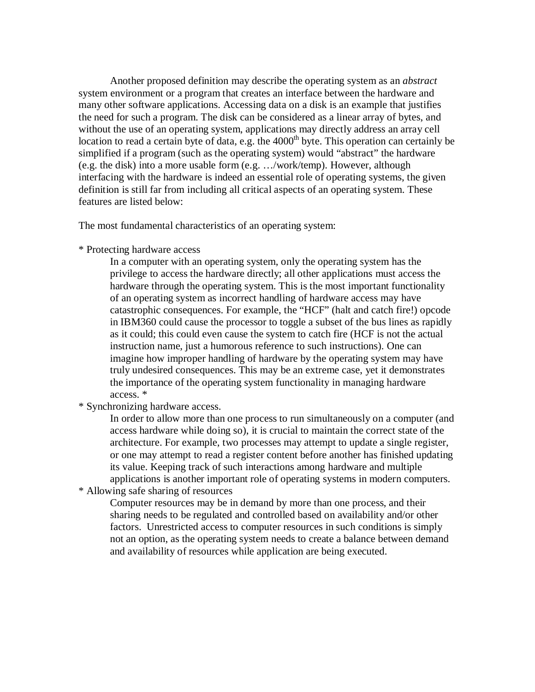Another proposed definition may describe the operating system as an *abstract* system environment or a program that creates an interface between the hardware and many other software applications. Accessing data on a disk is an example that justifies the need for such a program. The disk can be considered as a linear array of bytes, and without the use of an operating system, applications may directly address an array cell location to read a certain byte of data, e.g. the  $4000<sup>th</sup>$  byte. This operation can certainly be simplified if a program (such as the operating system) would "abstract" the hardware (e.g. the disk) into a more usable form (e.g. …/work/temp). However, although interfacing with the hardware is indeed an essential role of operating systems, the given definition is still far from including all critical aspects of an operating system. These features are listed below:

The most fundamental characteristics of an operating system:

\* Protecting hardware access

In a computer with an operating system, only the operating system has the privilege to access the hardware directly; all other applications must access the hardware through the operating system. This is the most important functionality of an operating system as incorrect handling of hardware access may have catastrophic consequences. For example, the "HCF" (halt and catch fire!) opcode in IBM360 could cause the processor to toggle a subset of the bus lines as rapidly as it could; this could even cause the system to catch fire (HCF is not the actual instruction name, just a humorous reference to such instructions). One can imagine how improper handling of hardware by the operating system may have truly undesired consequences. This may be an extreme case, yet it demonstrates the importance of the operating system functionality in managing hardware access. \*

\* Synchronizing hardware access.

In order to allow more than one process to run simultaneously on a computer (and access hardware while doing so), it is crucial to maintain the correct state of the architecture. For example, two processes may attempt to update a single register, or one may attempt to read a register content before another has finished updating its value. Keeping track of such interactions among hardware and multiple applications is another important role of operating systems in modern computers.

\* Allowing safe sharing of resources

Computer resources may be in demand by more than one process, and their sharing needs to be regulated and controlled based on availability and/or other factors. Unrestricted access to computer resources in such conditions is simply not an option, as the operating system needs to create a balance between demand and availability of resources while application are being executed.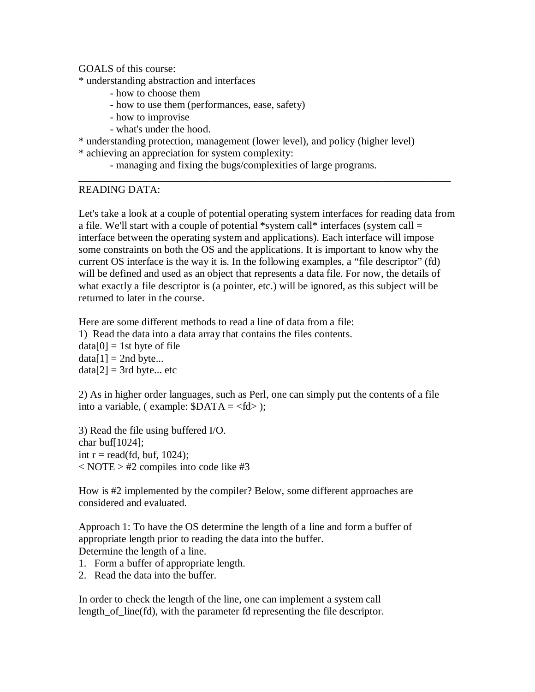GOALS of this course:

\* understanding abstraction and interfaces

- how to choose them
- how to use them (performances, ease, safety)
- how to improvise
- what's under the hood.

\* understanding protection, management (lower level), and policy (higher level)

\* achieving an appreciation for system complexity:

- managing and fixing the bugs/complexities of large programs.

## READING DATA:

Let's take a look at a couple of potential operating system interfaces for reading data from a file. We'll start with a couple of potential \*system call\* interfaces (system call = interface between the operating system and applications). Each interface will impose some constraints on both the OS and the applications. It is important to know why the current OS interface is the way it is. In the following examples, a "file descriptor" (fd) will be defined and used as an object that represents a data file. For now, the details of what exactly a file descriptor is (a pointer, etc.) will be ignored, as this subject will be returned to later in the course.

\_\_\_\_\_\_\_\_\_\_\_\_\_\_\_\_\_\_\_\_\_\_\_\_\_\_\_\_\_\_\_\_\_\_\_\_\_\_\_\_\_\_\_\_\_\_\_\_\_\_\_\_\_\_\_\_\_\_\_\_\_\_\_\_\_\_\_\_\_\_\_

Here are some different methods to read a line of data from a file: 1) Read the data into a data array that contains the files contents.  $data[0] = 1$ st byte of file  $data[1] = 2nd$  byte...  $data[2] = 3rd$  byte... etc

2) As in higher order languages, such as Perl, one can simply put the contents of a file into a variable, ( example:  $$DATA = < fd>$  );

3) Read the file using buffered I/O. char buf[ $1024$ ]; int  $r = read(fd, but, 1024);$  $<$  NOTE  $>$  #2 compiles into code like #3

How is #2 implemented by the compiler? Below, some different approaches are considered and evaluated.

Approach 1: To have the OS determine the length of a line and form a buffer of appropriate length prior to reading the data into the buffer. Determine the length of a line.

- 1. Form a buffer of appropriate length.
- 2. Read the data into the buffer.

In order to check the length of the line, one can implement a system call length of line(fd), with the parameter fd representing the file descriptor.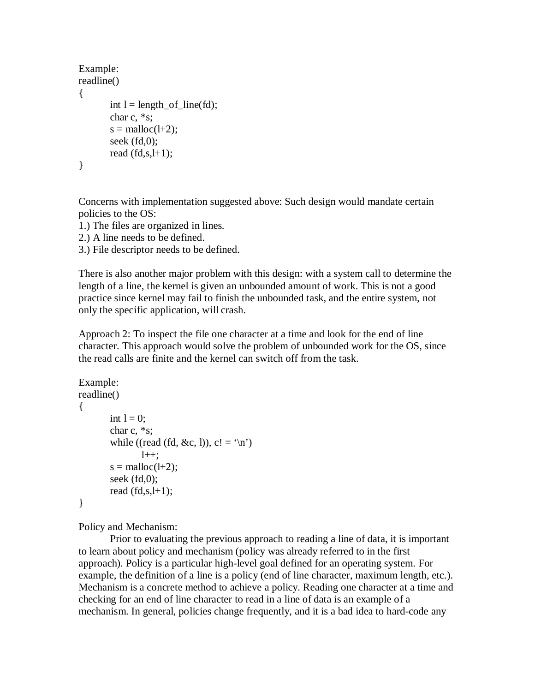```
Example:
readline()
{
        int l = length_of_line(fd);char c, *s;
        s = \text{malloc}(l+2);
        seek (fd,0);
        read (fd,s,l+1);}
```
Concerns with implementation suggested above: Such design would mandate certain policies to the OS:

1.) The files are organized in lines.

2.) A line needs to be defined.

3.) File descriptor needs to be defined.

There is also another major problem with this design: with a system call to determine the length of a line, the kernel is given an unbounded amount of work. This is not a good practice since kernel may fail to finish the unbounded task, and the entire system, not only the specific application, will crash.

Approach 2: To inspect the file one character at a time and look for the end of line character. This approach would solve the problem of unbounded work for the OS, since the read calls are finite and the kernel can switch off from the task.

```
Example:
readline()
{
        int l = 0;
        char c, *s;
        while ((read (fd, &c, l)), c! = \ln1++:
        s = \text{malloc}(l+2);
        seek (fd,0);
        read (fd,s,l+1);
}
```
Policy and Mechanism:

Prior to evaluating the previous approach to reading a line of data, it is important to learn about policy and mechanism (policy was already referred to in the first approach). Policy is a particular high-level goal defined for an operating system. For example, the definition of a line is a policy (end of line character, maximum length, etc.). Mechanism is a concrete method to achieve a policy. Reading one character at a time and checking for an end of line character to read in a line of data is an example of a mechanism. In general, policies change frequently, and it is a bad idea to hard-code any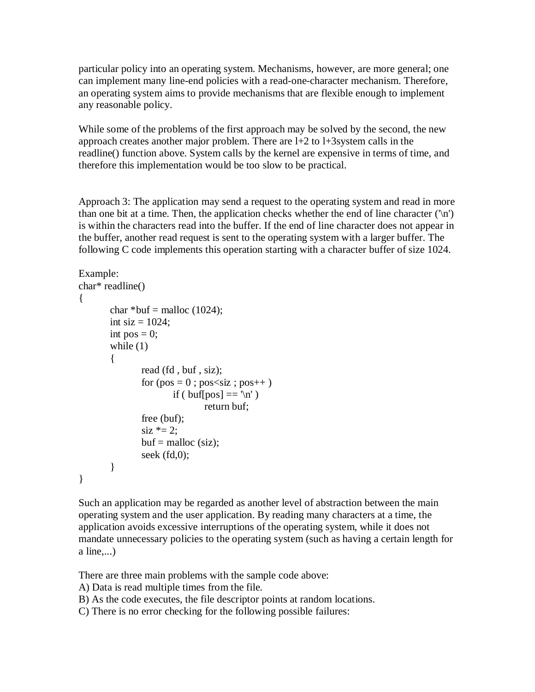particular policy into an operating system. Mechanisms, however, are more general; one can implement many line-end policies with a read-one-character mechanism. Therefore, an operating system aims to provide mechanisms that are flexible enough to implement any reasonable policy.

While some of the problems of the first approach may be solved by the second, the new approach creates another major problem. There are l+2 to l+3system calls in the readline() function above. System calls by the kernel are expensive in terms of time, and therefore this implementation would be too slow to be practical.

Approach 3: The application may send a request to the operating system and read in more than one bit at a time. Then, the application checks whether the end of line character  $(\n\cdot \n\cdot)$ is within the characters read into the buffer. If the end of line character does not appear in the buffer, another read request is sent to the operating system with a larger buffer. The following C code implements this operation starting with a character buffer of size 1024.

```
Example:
char* readline()
{
        char *buf = malloc (1024);
        int siz = 1024;
        int pos = 0;
        while (1){
                read (fd , buf , siz);
                for (pos = 0; pos<siz; pos++)
                         if ( buf[pos] == \ln' )
                                 return buf;
                free (buf);
                \text{size} *= 2;
                buf = \text{malloc}(\text{siz});seek (fd,0);}
}
```
Such an application may be regarded as another level of abstraction between the main operating system and the user application. By reading many characters at a time, the application avoids excessive interruptions of the operating system, while it does not mandate unnecessary policies to the operating system (such as having a certain length for a line,...)

There are three main problems with the sample code above:

A) Data is read multiple times from the file.

B) As the code executes, the file descriptor points at random locations.

C) There is no error checking for the following possible failures: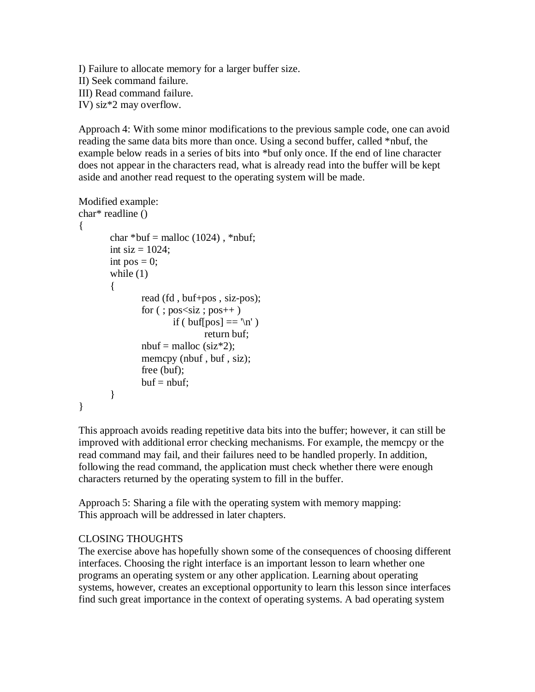I) Failure to allocate memory for a larger buffer size. II) Seek command failure. III) Read command failure. IV) siz\*2 may overflow.

Approach 4: With some minor modifications to the previous sample code, one can avoid reading the same data bits more than once. Using a second buffer, called \*nbuf, the example below reads in a series of bits into \*buf only once. If the end of line character does not appear in the characters read, what is already read into the buffer will be kept aside and another read request to the operating system will be made.

```
Modified example:
char* readline ()
```

```
{
       char *buf = malloc (1024), *nbuf;
       int siz = 1024;
       int pos = 0;
       while (1){
              read (fd , buf+pos , siz-pos);
              for (; pos<siz; pos++)if ( buf[pos] == 'n' )
                             return buf;
              nbuf = malloc (siz*2);
              memcpy (nbuf, buf, siz);
              free (buf);
              buf = nbuf:}
}
```
This approach avoids reading repetitive data bits into the buffer; however, it can still be improved with additional error checking mechanisms. For example, the memcpy or the read command may fail, and their failures need to be handled properly. In addition, following the read command, the application must check whether there were enough characters returned by the operating system to fill in the buffer.

Approach 5: Sharing a file with the operating system with memory mapping: This approach will be addressed in later chapters.

## CLOSING THOUGHTS

The exercise above has hopefully shown some of the consequences of choosing different interfaces. Choosing the right interface is an important lesson to learn whether one programs an operating system or any other application. Learning about operating systems, however, creates an exceptional opportunity to learn this lesson since interfaces find such great importance in the context of operating systems. A bad operating system